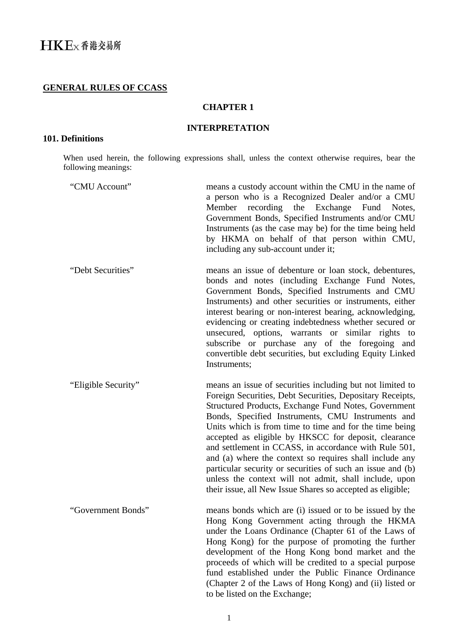# **GENERAL RULES OF CCASS**

## **CHAPTER 1**

#### **INTERPRETATION**

### **101. Definitions**

When used herein, the following expressions shall, unless the context otherwise requires, bear the following meanings:

| "CMU Account"       | means a custody account within the CMU in the name of<br>a person who is a Recognized Dealer and/or a CMU<br>Member recording the Exchange Fund Notes,<br>Government Bonds, Specified Instruments and/or CMU<br>Instruments (as the case may be) for the time being held<br>by HKMA on behalf of that person within CMU,<br>including any sub-account under it;                                                                                                                                                                                                                                                                                                  |
|---------------------|------------------------------------------------------------------------------------------------------------------------------------------------------------------------------------------------------------------------------------------------------------------------------------------------------------------------------------------------------------------------------------------------------------------------------------------------------------------------------------------------------------------------------------------------------------------------------------------------------------------------------------------------------------------|
| "Debt Securities"   | means an issue of debenture or loan stock, debentures,<br>bonds and notes (including Exchange Fund Notes,<br>Government Bonds, Specified Instruments and CMU<br>Instruments) and other securities or instruments, either<br>interest bearing or non-interest bearing, acknowledging,<br>evidencing or creating indebtedness whether secured or<br>unsecured, options, warrants or similar rights to<br>subscribe or purchase any of the foregoing and<br>convertible debt securities, but excluding Equity Linked<br>Instruments;                                                                                                                                |
| "Eligible Security" | means an issue of securities including but not limited to<br>Foreign Securities, Debt Securities, Depositary Receipts,<br>Structured Products, Exchange Fund Notes, Government<br>Bonds, Specified Instruments, CMU Instruments and<br>Units which is from time to time and for the time being<br>accepted as eligible by HKSCC for deposit, clearance<br>and settlement in CCASS, in accordance with Rule 501,<br>and (a) where the context so requires shall include any<br>particular security or securities of such an issue and (b)<br>unless the context will not admit, shall include, upon<br>their issue, all New Issue Shares so accepted as eligible; |
| "Government Bonds"  | means bonds which are (i) issued or to be issued by the<br>Hong Kong Government acting through the HKMA<br>under the Loans Ordinance (Chapter 61 of the Laws of<br>Hong Kong) for the purpose of promoting the further<br>development of the Hong Kong bond market and the<br>proceeds of which will be credited to a special purpose<br>fund established under the Public Finance Ordinance<br>(Chapter 2 of the Laws of Hong Kong) and (ii) listed or<br>to be listed on the Exchange;                                                                                                                                                                         |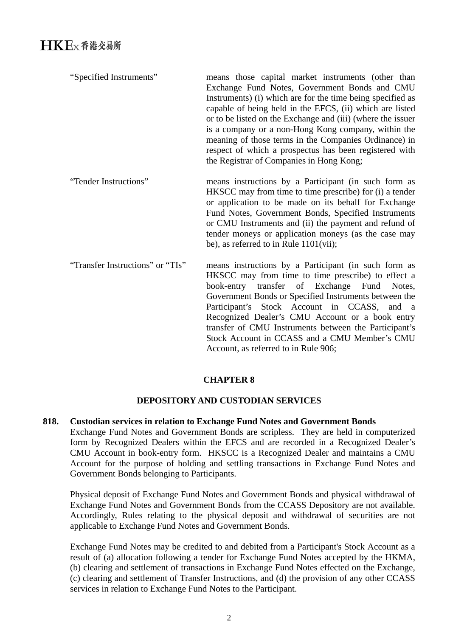| "Specified Instruments"          | means those capital market instruments (other than<br>Exchange Fund Notes, Government Bonds and CMU<br>Instruments) (i) which are for the time being specified as<br>capable of being held in the EFCS, (ii) which are listed<br>or to be listed on the Exchange and (iii) (where the issuer<br>is a company or a non-Hong Kong company, within the<br>meaning of those terms in the Companies Ordinance) in<br>respect of which a prospectus has been registered with<br>the Registrar of Companies in Hong Kong; |
|----------------------------------|--------------------------------------------------------------------------------------------------------------------------------------------------------------------------------------------------------------------------------------------------------------------------------------------------------------------------------------------------------------------------------------------------------------------------------------------------------------------------------------------------------------------|
| "Tender Instructions"            | means instructions by a Participant (in such form as<br>HKSCC may from time to time prescribe) for (i) a tender<br>or application to be made on its behalf for Exchange<br>Fund Notes, Government Bonds, Specified Instruments<br>or CMU Instruments and (ii) the payment and refund of<br>tender moneys or application moneys (as the case may<br>be), as referred to in Rule $1101(vii)$ ;                                                                                                                       |
| "Transfer Instructions" or "TIs" | means instructions by a Participant (in such form as<br>HKSCC may from time to time prescribe) to effect a<br>book-entry transfer of Exchange Fund<br>Notes,<br>Government Bonds or Specified Instruments between the                                                                                                                                                                                                                                                                                              |

Participant's Stock Account in CCASS, and a Recognized Dealer's CMU Account or a book entry transfer of CMU Instruments between the Participant's Stock Account in CCASS and a CMU Member's CMU

# **DEPOSITORY AND CUSTODIAN SERVICES**

**CHAPTER 8** 

Account, as referred to in Rule 906;

#### **818. Custodian services in relation to Exchange Fund Notes and Government Bonds**  Exchange Fund Notes and Government Bonds are scripless. They are held in computerized form by Recognized Dealers within the EFCS and are recorded in a Recognized Dealer's CMU Account in book-entry form. HKSCC is a Recognized Dealer and maintains a CMU Account for the purpose of holding and settling transactions in Exchange Fund Notes and

Government Bonds belonging to Participants.

Physical deposit of Exchange Fund Notes and Government Bonds and physical withdrawal of Exchange Fund Notes and Government Bonds from the CCASS Depository are not available. Accordingly, Rules relating to the physical deposit and withdrawal of securities are not applicable to Exchange Fund Notes and Government Bonds.

Exchange Fund Notes may be credited to and debited from a Participant's Stock Account as a result of (a) allocation following a tender for Exchange Fund Notes accepted by the HKMA, (b) clearing and settlement of transactions in Exchange Fund Notes effected on the Exchange, (c) clearing and settlement of Transfer Instructions, and (d) the provision of any other CCASS services in relation to Exchange Fund Notes to the Participant.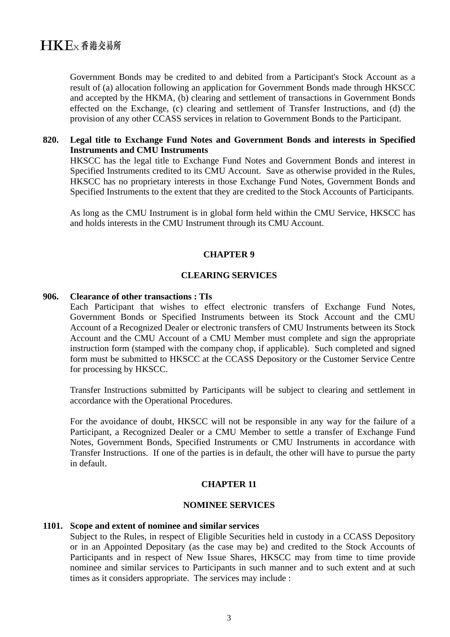Government Bonds may be credited to and debited from a Participant's Stock Account as a result of (a) allocation following an application for Government Bonds made through HKSCC and accepted by the HKMA, (b) clearing and settlement of transactions in Government Bonds effected on the Exchange, (c) clearing and settlement of Transfer Instructions, and (d) the provision of any other CCASS services in relation to Government Bonds to the Participant.

#### **820. Legal title to Exchange Fund Notes and Government Bonds and interests in Specified Instruments and CMU Instruments**

HKSCC has the legal title to Exchange Fund Notes and Government Bonds and interest in Specified Instruments credited to its CMU Account. Save as otherwise provided in the Rules, HKSCC has no proprietary interests in those Exchange Fund Notes, Government Bonds and Specified Instruments to the extent that they are credited to the Stock Accounts of Participants.

As long as the CMU Instrument is in global form held within the CMU Service, HKSCC has and holds interests in the CMU Instrument through its CMU Account.

#### **CHAPTER 9**

#### **CLEARING SERVICES**

#### **906. Clearance of other transactions : TIs**

Each Participant that wishes to effect electronic transfers of Exchange Fund Notes, Government Bonds or Specified Instruments between its Stock Account and the CMU Account of a Recognized Dealer or electronic transfers of CMU Instruments between its Stock Account and the CMU Account of a CMU Member must complete and sign the appropriate instruction form (stamped with the company chop, if applicable). Such completed and signed form must be submitted to HKSCC at the CCASS Depository or the Customer Service Centre for processing by HKSCC.

Transfer Instructions submitted by Participants will be subject to clearing and settlement in accordance with the Operational Procedures.

For the avoidance of doubt, HKSCC will not be responsible in any way for the failure of a Participant, a Recognized Dealer or a CMU Member to settle a transfer of Exchange Fund Notes, Government Bonds, Specified Instruments or CMU Instruments in accordance with Transfer Instructions. If one of the parties is in default, the other will have to pursue the party in default.

#### **CHAPTER 11**

#### **NOMINEE SERVICES**

#### **1101. Scope and extent of nominee and similar services**

Subject to the Rules, in respect of Eligible Securities held in custody in a CCASS Depository or in an Appointed Depositary (as the case may be) and credited to the Stock Accounts of Participants and in respect of New Issue Shares, HKSCC may from time to time provide nominee and similar services to Participants in such manner and to such extent and at such times as it considers appropriate. The services may include :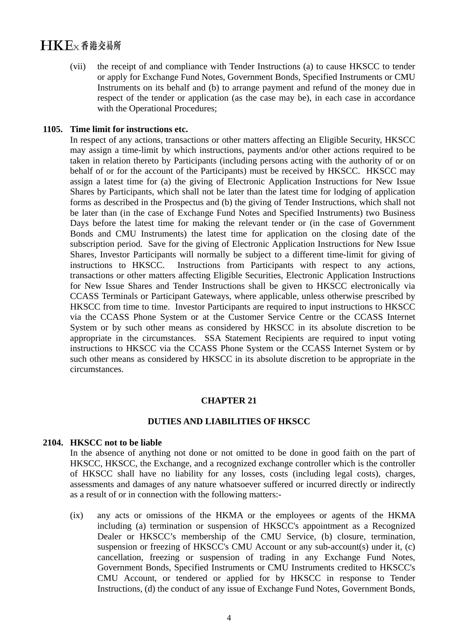# $H$ K $E$ <sub>x</sub> $\Phi$ 港交易所

(vii) the receipt of and compliance with Tender Instructions (a) to cause HKSCC to tender or apply for Exchange Fund Notes, Government Bonds, Specified Instruments or CMU Instruments on its behalf and (b) to arrange payment and refund of the money due in respect of the tender or application (as the case may be), in each case in accordance with the Operational Procedures;

#### **1105. Time limit for instructions etc.**

In respect of any actions, transactions or other matters affecting an Eligible Security, HKSCC may assign a time-limit by which instructions, payments and/or other actions required to be taken in relation thereto by Participants (including persons acting with the authority of or on behalf of or for the account of the Participants) must be received by HKSCC. HKSCC may assign a latest time for (a) the giving of Electronic Application Instructions for New Issue Shares by Participants, which shall not be later than the latest time for lodging of application forms as described in the Prospectus and (b) the giving of Tender Instructions, which shall not be later than (in the case of Exchange Fund Notes and Specified Instruments) two Business Days before the latest time for making the relevant tender or (in the case of Government Bonds and CMU Instruments) the latest time for application on the closing date of the subscription period. Save for the giving of Electronic Application Instructions for New Issue Shares, Investor Participants will normally be subject to a different time-limit for giving of instructions to HKSCC. Instructions from Participants with respect to any actions, transactions or other matters affecting Eligible Securities, Electronic Application Instructions for New Issue Shares and Tender Instructions shall be given to HKSCC electronically via CCASS Terminals or Participant Gateways, where applicable, unless otherwise prescribed by HKSCC from time to time. Investor Participants are required to input instructions to HKSCC via the CCASS Phone System or at the Customer Service Centre or the CCASS Internet System or by such other means as considered by HKSCC in its absolute discretion to be appropriate in the circumstances. SSA Statement Recipients are required to input voting instructions to HKSCC via the CCASS Phone System or the CCASS Internet System or by such other means as considered by HKSCC in its absolute discretion to be appropriate in the circumstances.

#### **CHAPTER 21**

#### **DUTIES AND LIABILITIES OF HKSCC**

#### **2104. HKSCC not to be liable**

In the absence of anything not done or not omitted to be done in good faith on the part of HKSCC, HKSCC, the Exchange, and a recognized exchange controller which is the controller of HKSCC shall have no liability for any losses, costs (including legal costs), charges, assessments and damages of any nature whatsoever suffered or incurred directly or indirectly as a result of or in connection with the following matters:-

(ix) any acts or omissions of the HKMA or the employees or agents of the HKMA including (a) termination or suspension of HKSCC's appointment as a Recognized Dealer or HKSCC's membership of the CMU Service, (b) closure, termination, suspension or freezing of HKSCC's CMU Account or any sub-account(s) under it, (c) cancellation, freezing or suspension of trading in any Exchange Fund Notes, Government Bonds, Specified Instruments or CMU Instruments credited to HKSCC's CMU Account, or tendered or applied for by HKSCC in response to Tender Instructions, (d) the conduct of any issue of Exchange Fund Notes, Government Bonds,